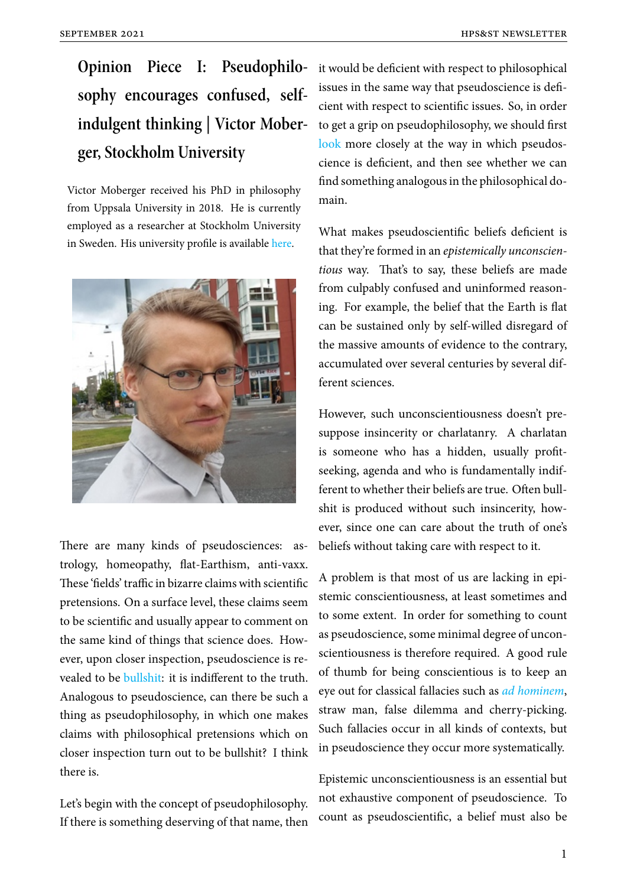**Opinion Piece I: Pseudophilosophy encourages confused, selfindulgent thinking | Victor Moberger, Stockholm University**

Victor Moberger received his PhD in philosophy from Uppsala University in 2018. He is currently employed as a researcher at Stockholm University in Sweden. His university profile is available here.



There are many kinds of pseudosciences: astrology, homeopathy, flat-Earthism, anti-vaxx. These 'fields' traffic in bizarre claims with scientific pretensions. On a surface level, these claims seem to be scientific and usually appear to comment on the same kind of things that science does. However, upon closer inspection, pseudoscience is revealed to be bullshit: it is indifferent to the truth. Analogous to pseudoscience, can there be such a thing as pseudophilosophy, in which one makes claims with [philoso](https://aeon.co/ideas/why-bullshit-is-no-laughing-matter)phical pretensions which on closer inspection turn out to be bullshit? I think there is.

Let's begin with the concept of pseudophilosophy. If there is something deserving of that name, then it would be deficient with respect to philosophical issues in the same way that pseudoscience is deficient with respect to scientific issues. So, in order to get a grip on pseudophilosophy, we should first look more closely at the way in which pseudoscience is deficient, and then see whether we can find something analogous in the philosophical do[main](https://onlinelibrary.wiley.com/doi/full/10.1111/theo.12271).

What makes pseudoscientific beliefs deficient is that they're formed in an *epistemically unconscientious* way. That's to say, these beliefs are made from culpably confused and uninformed reasoning. For example, the belief that the Earth is flat can be sustained only by self-willed disregard of the massive amounts of evidence to the contrary, accumulated over several centuries by several different sciences.

However, such unconscientiousness doesn't presuppose insincerity or charlatanry. A charlatan is someone who has a hidden, usually profitseeking, agenda and who is fundamentally indifferent to whether their beliefs are true. Often bullshit is produced without such insincerity, however, since one can care about the truth of one's beliefs without taking care with respect to it.

A problem is that most of us are lacking in epistemic conscientiousness, at least sometimes and to some extent. In order for something to count as pseudoscience, some minimal degree of unconscientiousness is therefore required. A good rule of thumb for being conscientious is to keep an eye out for classical fallacies such as *ad hominem*, straw man, false dilemma and cherry-picking. Such fallacies occur in all kinds of contexts, but in pseudoscience they occur more s[ystematically.](https://aeon.co/ideas/how-ad-hominem-arguments-can-demolish-appeals-to-authority)

Epistemic unconscientiousness is an essential but not exhaustive component of pseudoscience. To count as pseudoscientific, a belief must also be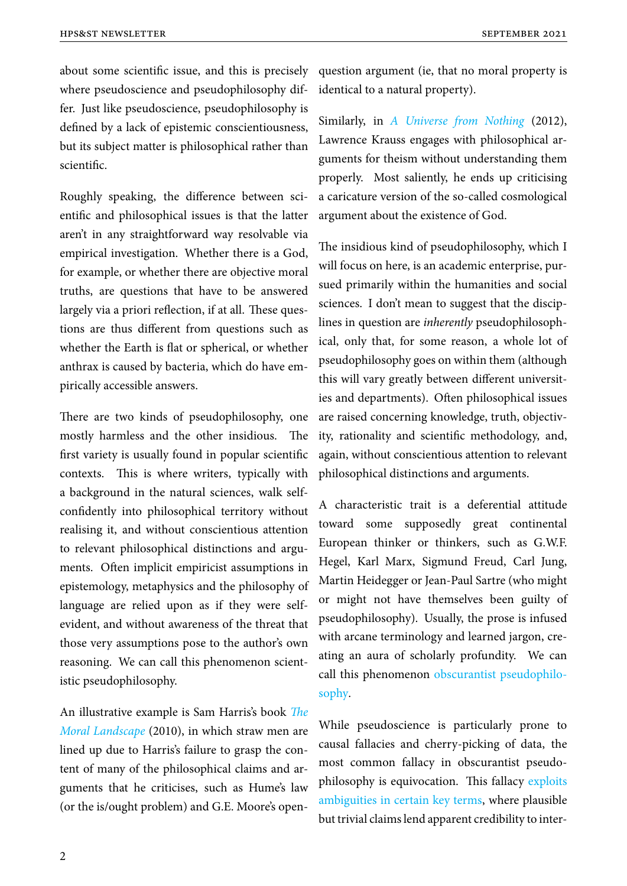about some scientific issue, and this is precisely where pseudoscience and pseudophilosophy differ. Just like pseudoscience, pseudophilosophy is defined by a lack of epistemic conscientiousness, but its subject matter is philosophical rather than scientific.

Roughly speaking, the difference between scientific and philosophical issues is that the latter aren't in any straightforward way resolvable via empirical investigation. Whether there is a God, for example, or whether there are objective moral truths, are questions that have to be answered largely via a priori reflection, if at all. These questions are thus different from questions such as whether the Earth is flat or spherical, or whether anthrax is caused by bacteria, which do have empirically accessible answers.

There are two kinds of pseudophilosophy, one mostly harmless and the other insidious. The first variety is usually found in popular scientific contexts. This is where writers, typically with a background in the natural sciences, walk selfconfidently into philosophical territory without realising it, and without conscientious attention to relevant philosophical distinctions and arguments. Often implicit empiricist assumptions in epistemology, metaphysics and the philosophy of language are relied upon as if they were selfevident, and without awareness of the threat that those very assumptions pose to the author's own reasoning. We can call this phenomenon scientistic pseudophilosophy.

An illustrative example is Sam Harris's book *The Moral Landscape* (2010), in which straw men are lined up due to Harris's failure to grasp the content of many of the philosophical claims and [ar](https://samharris.org/books/the-moral-landscape/)[guments that he](https://samharris.org/books/the-moral-landscape/) criticises, such as Hume's law (or the is/ought problem) and G.E. Moore's openquestion argument (ie, that no moral property is identical to a natural property).

Similarly, in *A Universe from Nothing* (2012), Lawrence Krauss engages with philosophical arguments for theism without understanding them properly. M[ost saliently, he ends up cr](https://www.simonandschuster.com/books/A-Universe-from-Nothing/Lawrence-M-Krauss/9781451624465)iticising a caricature version of the so-called cosmological argument about the existence of God.

The insidious kind of pseudophilosophy, which I will focus on here, is an academic enterprise, pursued primarily within the humanities and social sciences. I don't mean to suggest that the disciplines in question are *inherently* pseudophilosophical, only that, for some reason, a whole lot of pseudophilosophy goes on within them (although this will vary greatly between different universities and departments). Often philosophical issues are raised concerning knowledge, truth, objectivity, rationality and scientific methodology, and, again, without conscientious attention to relevant philosophical distinctions and arguments.

A characteristic trait is a deferential attitude toward some supposedly great continental European thinker or thinkers, such as G.W.F. Hegel, Karl Marx, Sigmund Freud, Carl Jung, Martin Heidegger or Jean-Paul Sartre (who might or might not have themselves been guilty of pseudophilosophy). Usually, the prose is infused with arcane terminology and learned jargon, creating an aura of scholarly profundity. We can call this phenomenon obscurantist pseudophilosophy.

While pseudoscience [is particularly prone to](https://onlinelibrary.wiley.com/doi/abs/10.1111/theo.12047) [causal](https://onlinelibrary.wiley.com/doi/abs/10.1111/theo.12047) fallacies and cherry-picking of data, the most common fallacy in obscurantist pseudophilosophy is equivocation. This fallacy exploits ambiguities in certain key terms, where plausible but trivial claims lend apparent credibility to inter-